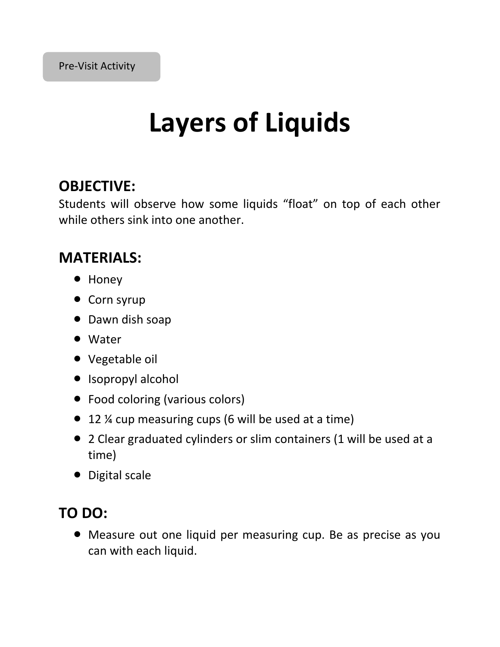# **Layers of Liquids**

#### **OBJECTIVE:**

Students will observe how some liquids "float" on top of each other while others sink into one another.

#### **MATERIALS:**

- Honey
- Corn syrup
- Dawn dish soap
- Water
- Vegetable oil
- Isopropyl alcohol
- Food coloring (various colors)
- 12 ¼ cup measuring cups (6 will be used at a time)
- 2 Clear graduated cylinders or slim containers (1 will be used at a time)
- Digital scale

### **TO DO:**

 Measure out one liquid per measuring cup. Be as precise as you can with each liquid.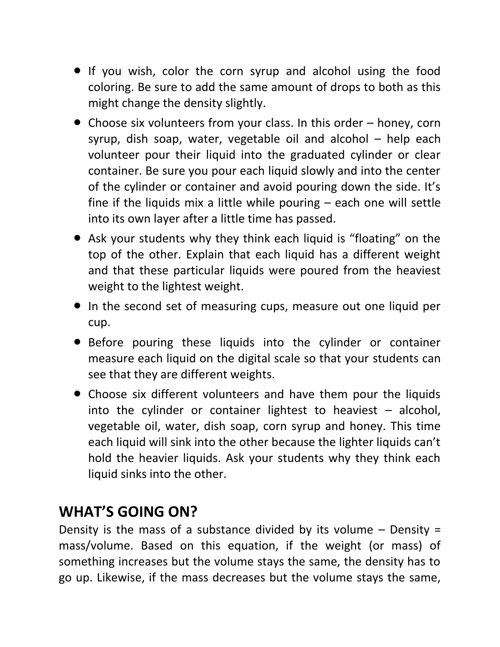- If you wish, color the corn syrup and alcohol using the food coloring. Be sure to add the same amount of drops to both as this might change the density slightly.
- Choose six volunteers from your class. In this order honey, corn syrup, dish soap, water, vegetable oil and alcohol – help each volunteer pour their liquid into the graduated cylinder or clear container. Be sure you pour each liquid slowly and into the center of the cylinder or container and avoid pouring down the side. It's fine if the liquids mix a little while pouring – each one will settle into its own layer after a little time has passed.
- Ask your students why they think each liquid is "floating" on the top of the other. Explain that each liquid has a different weight and that these particular liquids were poured from the heaviest weight to the lightest weight.
- In the second set of measuring cups, measure out one liquid per cup.
- Before pouring these liquids into the cylinder or container measure each liquid on the digital scale so that your students can see that they are different weights.
- Choose six different volunteers and have them pour the liquids into the cylinder or container lightest to heaviest  $-$  alcohol, vegetable oil, water, dish soap, corn syrup and honey. This time each liquid will sink into the other because the lighter liquids can't hold the heavier liquids. Ask your students why they think each liquid sinks into the other.

### **WHAT'S GOING ON?**

Density is the mass of a substance divided by its volume  $-$  Density = mass/volume. Based on this equation, if the weight (or mass) of something increases but the volume stays the same, the density has to go up. Likewise, if the mass decreases but the volume stays the same,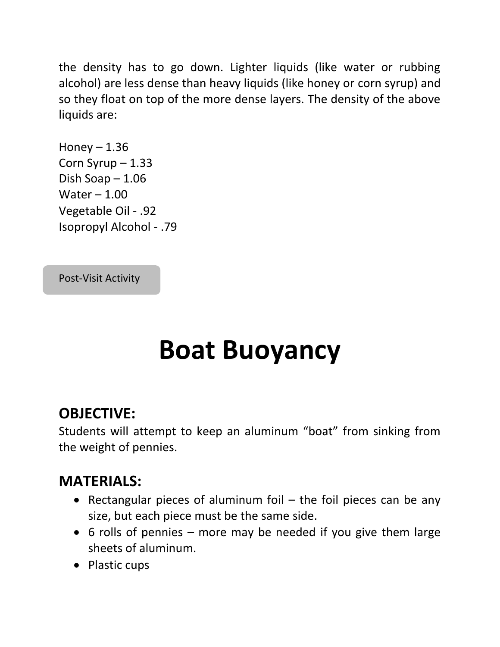the density has to go down. Lighter liquids (like water or rubbing alcohol) are less dense than heavy liquids (like honey or corn syrup) and so they float on top of the more dense layers. The density of the above liquids are:

```
Honey -1.36Corn Syrup – 1.33
Dish Soap – 1.06
Water -1.00Vegetable Oil - .92
Isopropyl Alcohol - .79
```
Post-Visit Activity

# **Boat Buoyancy**

#### **OBJECTIVE:**

Students will attempt to keep an aluminum "boat" from sinking from the weight of pennies.

#### **MATERIALS:**

- Rectangular pieces of aluminum foil  $-$  the foil pieces can be any size, but each piece must be the same side.
- $\bullet$  6 rolls of pennies more may be needed if you give them large sheets of aluminum.
- Plastic cups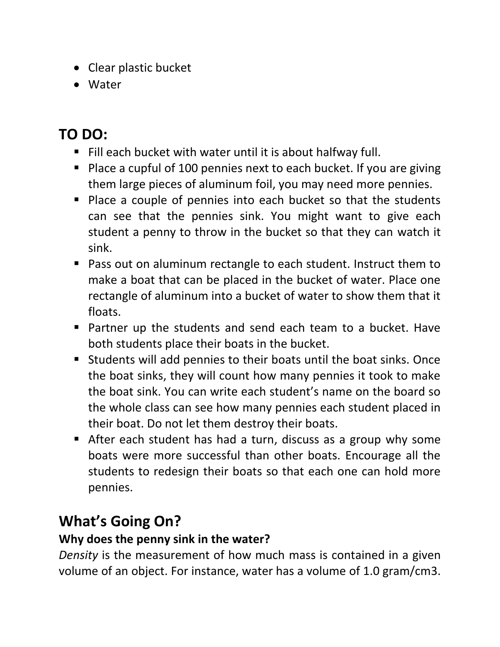- Clear plastic bucket
- Water

## **TO DO:**

- Fill each bucket with water until it is about halfway full.
- Place a cupful of 100 pennies next to each bucket. If you are giving them large pieces of aluminum foil, you may need more pennies.
- **Place a couple of pennies into each bucket so that the students** can see that the pennies sink. You might want to give each student a penny to throw in the bucket so that they can watch it sink.
- Pass out on aluminum rectangle to each student. Instruct them to make a boat that can be placed in the bucket of water. Place one rectangle of aluminum into a bucket of water to show them that it floats.
- Partner up the students and send each team to a bucket. Have both students place their boats in the bucket.
- Students will add pennies to their boats until the boat sinks. Once the boat sinks, they will count how many pennies it took to make the boat sink. You can write each student's name on the board so the whole class can see how many pennies each student placed in their boat. Do not let them destroy their boats.
- After each student has had a turn, discuss as a group why some boats were more successful than other boats. Encourage all the students to redesign their boats so that each one can hold more pennies.

## **What's Going On?**

#### **Why does the penny sink in the water?**

*Density* is the measurement of how much mass is contained in a given volume of an object. For instance, water has a volume of 1.0 gram/cm3.